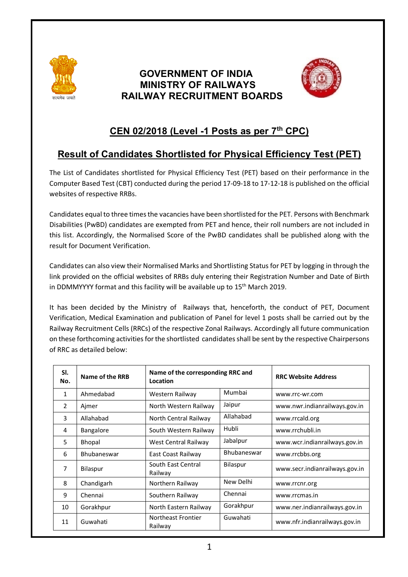

## **GOVERNMENT OF INDIA MINISTRY OF RAILWAYS RAILWAY RECRUITMENT BOARDS**



## **CEN 02/2018 (Level -1 Posts as per 7th CPC)**

# **Result of Candidates Shortlisted for Physical Efficiency Test (PET)**

The List of Candidates shortlisted for Physical Efficiency Test (PET) based on their performance in the Computer Based Test (CBT) conducted during the period 17-09-18 to 17-12-18 is published on the official websites of respective RRBs.

Candidates equal to three times the vacancies have been shortlisted for the PET. Persons with Benchmark Disabilities (PwBD) candidates are exempted from PET and hence, their roll numbers are not included in this list. Accordingly, the Normalised Score of the PwBD candidates shall be published along with the result for Document Verification.

Candidates can also view their Normalised Marks and Shortlisting Status for PET by logging in through the link provided on the official websites of RRBs duly entering their Registration Number and Date of Birth in DDMMYYYY format and this facility will be available up to  $15<sup>th</sup>$  March 2019.

It has been decided by the Ministry of Railways that, henceforth, the conduct of PET, Document Verification, Medical Examination and publication of Panel for level 1 posts shall be carried out by the Railway Recruitment Cells (RRCs) of the respective Zonal Railways. Accordingly all future communication on these forthcoming activities for the shortlisted candidates shall be sent by the respective Chairpersons of RRC as detailed below:

| SI.<br>No.     | Name of the RRB | Name of the corresponding RRC and<br>Location |                 | <b>RRC Website Address</b>     |
|----------------|-----------------|-----------------------------------------------|-----------------|--------------------------------|
| 1              | Ahmedabad       | Western Railway                               | Mumbai          | www.rrc-wr.com                 |
| $\overline{2}$ | Ajmer           | North Western Railway                         | Jaipur          | www.nwr.indianrailways.gov.in  |
| 3              | Allahabad       | North Central Railway                         | Allahabad       | www.rrcald.org                 |
| 4              | Bangalore       | South Western Railway                         | Hubli           | www.rrchubli.in                |
| 5              | Bhopal          | West Central Railway                          | Jabalpur        | www.wcr.indianrailways.gov.in  |
| 6              | Bhubaneswar     | East Coast Railway                            | Bhubaneswar     | www.rrcbbs.org                 |
| $\overline{7}$ | <b>Bilaspur</b> | South East Central<br>Railway                 | <b>Bilaspur</b> | www.secr.indianrailways.gov.in |
| 8              | Chandigarh      | Northern Railway                              | New Delhi       | www.rrcnr.org                  |
| 9              | Chennai         | Southern Railway                              | Chennai         | www.rrcmas.in                  |
| 10             | Gorakhpur       | North Eastern Railway                         | Gorakhpur       | www.ner.indianrailways.gov.in  |
| 11             | Guwahati        | Northeast Frontier<br>Railway                 | Guwahati        | www.nfr.indianrailways.gov.in  |